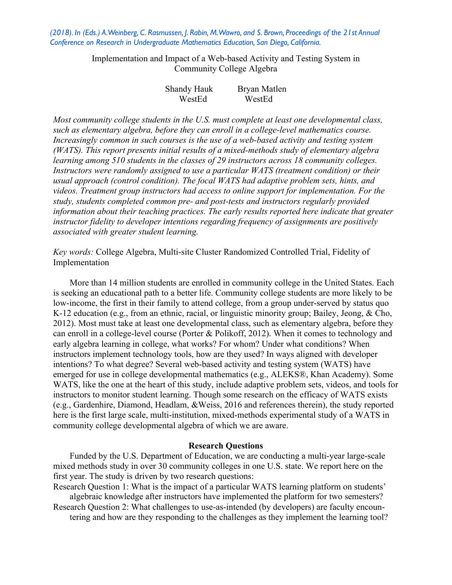*(2018). In (Eds.) A. Weinberg, C. Rasmussen, J. Rabin, M. Wawro, and S. Brown, Proceedings of the 21st Annual Conference on Research in Undergraduate Mathematics Education, San Diego, California.* 

> Implementation and Impact of a Web-based Activity and Testing System in Community College Algebra

| Shandy Hauk | Bryan Matlen |
|-------------|--------------|
| WestEd      | WestEd       |

*Most community college students in the U.S. must complete at least one developmental class, such as elementary algebra, before they can enroll in a college-level mathematics course. Increasingly common in such courses is the use of a web-based activity and testing system (WATS). This report presents initial results of a mixed-methods study of elementary algebra learning among 510 students in the classes of 29 instructors across 18 community colleges. Instructors were randomly assigned to use a particular WATS (treatment condition) or their usual approach (control condition). The focal WATS had adaptive problem sets, hints, and videos. Treatment group instructors had access to online support for implementation. For the study, students completed common pre- and post-tests and instructors regularly provided information about their teaching practices. The early results reported here indicate that greater instructor fidelity to developer intentions regarding frequency of assignments are positively associated with greater student learning.*

*Key words:* College Algebra, Multi-site Cluster Randomized Controlled Trial, Fidelity of Implementation

More than 14 million students are enrolled in community college in the United States. Each is seeking an educational path to a better life. Community college students are more likely to be low-income, the first in their family to attend college, from a group under-served by status quo K-12 education (e.g., from an ethnic, racial, or linguistic minority group; Bailey, Jeong, & Cho, 2012). Most must take at least one developmental class, such as elementary algebra, before they can enroll in a college-level course (Porter & Polikoff, 2012). When it comes to technology and early algebra learning in college, what works? For whom? Under what conditions? When instructors implement technology tools, how are they used? In ways aligned with developer intentions? To what degree? Several web-based activity and testing system (WATS) have emerged for use in college developmental mathematics (e.g., ALEKS®, Khan Academy). Some WATS, like the one at the heart of this study, include adaptive problem sets, videos, and tools for instructors to monitor student learning. Though some research on the efficacy of WATS exists (e.g., Gardenhire, Diamond, Headlam, &Weiss, 2016 and references therein), the study reported here is the first large scale, multi-institution, mixed-methods experimental study of a WATS in community college developmental algebra of which we are aware.

#### **Research Questions**

Funded by the U.S. Department of Education, we are conducting a multi-year large-scale mixed methods study in over 30 community colleges in one U.S. state. We report here on the first year. The study is driven by two research questions:

Research Question 1: What is the impact of a particular WATS learning platform on students' algebraic knowledge after instructors have implemented the platform for two semesters?

Research Question 2: What challenges to use-as-intended (by developers) are faculty encountering and how are they responding to the challenges as they implement the learning tool?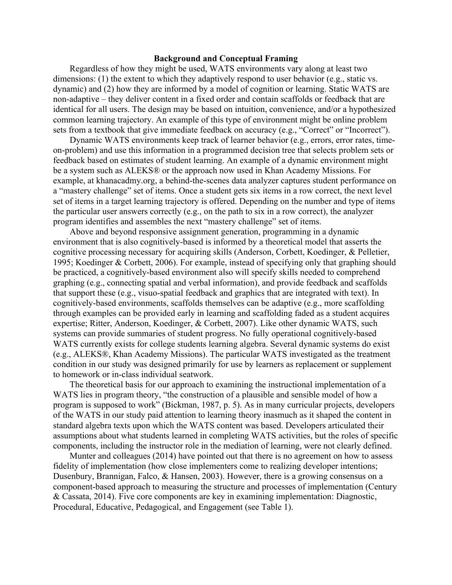## **Background and Conceptual Framing**

Regardless of how they might be used, WATS environments vary along at least two dimensions: (1) the extent to which they adaptively respond to user behavior (e.g., static vs. dynamic) and (2) how they are informed by a model of cognition or learning. Static WATS are non-adaptive – they deliver content in a fixed order and contain scaffolds or feedback that are identical for all users. The design may be based on intuition, convenience, and/or a hypothesized common learning trajectory. An example of this type of environment might be online problem sets from a textbook that give immediate feedback on accuracy (e.g., "Correct" or "Incorrect").

Dynamic WATS environments keep track of learner behavior (e.g., errors, error rates, timeon-problem) and use this information in a programmed decision tree that selects problem sets or feedback based on estimates of student learning. An example of a dynamic environment might be a system such as ALEKS® or the approach now used in Khan Academy Missions. For example, at khanacadmy.org, a behind-the-scenes data analyzer captures student performance on a "mastery challenge" set of items. Once a student gets six items in a row correct, the next level set of items in a target learning trajectory is offered. Depending on the number and type of items the particular user answers correctly (e.g., on the path to six in a row correct), the analyzer program identifies and assembles the next "mastery challenge" set of items.

Above and beyond responsive assignment generation, programming in a dynamic environment that is also cognitively-based is informed by a theoretical model that asserts the cognitive processing necessary for acquiring skills (Anderson, Corbett, Koedinger, & Pelletier, 1995; Koedinger & Corbett, 2006). For example, instead of specifying only that graphing should be practiced, a cognitively-based environment also will specify skills needed to comprehend graphing (e.g., connecting spatial and verbal information), and provide feedback and scaffolds that support these (e.g., visuo-spatial feedback and graphics that are integrated with text). In cognitively-based environments, scaffolds themselves can be adaptive (e.g., more scaffolding through examples can be provided early in learning and scaffolding faded as a student acquires expertise; Ritter, Anderson, Koedinger, & Corbett, 2007). Like other dynamic WATS, such systems can provide summaries of student progress. No fully operational cognitively-based WATS currently exists for college students learning algebra. Several dynamic systems do exist (e.g., ALEKS®, Khan Academy Missions). The particular WATS investigated as the treatment condition in our study was designed primarily for use by learners as replacement or supplement to homework or in-class individual seatwork.

The theoretical basis for our approach to examining the instructional implementation of a WATS lies in program theory, "the construction of a plausible and sensible model of how a program is supposed to work" (Bickman, 1987, p. 5). As in many curricular projects, developers of the WATS in our study paid attention to learning theory inasmuch as it shaped the content in standard algebra texts upon which the WATS content was based. Developers articulated their assumptions about what students learned in completing WATS activities, but the roles of specific components, including the instructor role in the mediation of learning, were not clearly defined.

Munter and colleagues (2014) have pointed out that there is no agreement on how to assess fidelity of implementation (how close implementers come to realizing developer intentions; Dusenbury, Brannigan, Falco, & Hansen, 2003). However, there is a growing consensus on a component-based approach to measuring the structure and processes of implementation (Century & Cassata, 2014). Five core components are key in examining implementation: Diagnostic, Procedural, Educative, Pedagogical, and Engagement (see Table 1).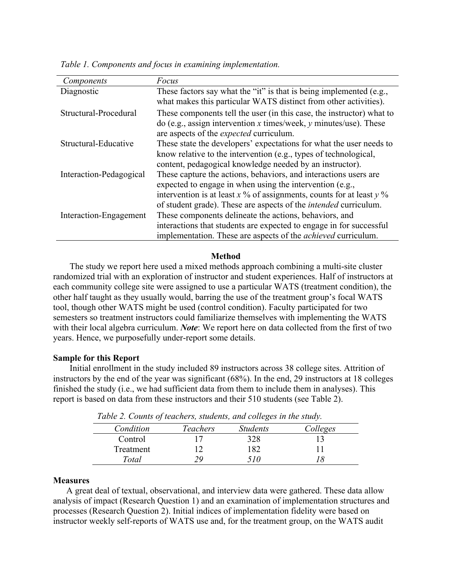| Components              | Focus                                                                   |
|-------------------------|-------------------------------------------------------------------------|
| Diagnostic              | These factors say what the "it" is that is being implemented (e.g.,     |
|                         | what makes this particular WATS distinct from other activities).        |
| Structural-Procedural   | These components tell the user (in this case, the instructor) what to   |
|                         | do (e.g., assign intervention x times/week, y minutes/use). These       |
|                         | are aspects of the <i>expected</i> curriculum.                          |
| Structural-Educative    | These state the developers' expectations for what the user needs to     |
|                         | know relative to the intervention (e.g., types of technological,        |
|                         | content, pedagogical knowledge needed by an instructor).                |
| Interaction-Pedagogical | These capture the actions, behaviors, and interactions users are        |
|                         | expected to engage in when using the intervention (e.g.,                |
|                         | intervention is at least x % of assignments, counts for at least y %    |
|                         | of student grade). These are aspects of the <i>intended</i> curriculum. |
| Interaction-Engagement  | These components delineate the actions, behaviors, and                  |
|                         | interactions that students are expected to engage in for successful     |
|                         | implementation. These are aspects of the <i>achieved</i> curriculum.    |

*Table 1. Components and focus in examining implementation.*

# **Method**

The study we report here used a mixed methods approach combining a multi-site cluster randomized trial with an exploration of instructor and student experiences. Half of instructors at each community college site were assigned to use a particular WATS (treatment condition), the other half taught as they usually would, barring the use of the treatment group's focal WATS tool, though other WATS might be used (control condition). Faculty participated for two semesters so treatment instructors could familiarize themselves with implementing the WATS with their local algebra curriculum. *Note*: We report here on data collected from the first of two years. Hence, we purposefully under-report some details.

# **Sample for this Report**

Initial enrollment in the study included 89 instructors across 38 college sites. Attrition of instructors by the end of the year was significant (68%). In the end, 29 instructors at 18 colleges finished the study (i.e., we had sufficient data from them to include them in analyses). This report is based on data from these instructors and their 510 students (see Table 2).

| Condition | Teachers | <b>Students</b> | Colleges |
|-----------|----------|-----------------|----------|
| Control   |          | 328             |          |
| Treatment |          | 182             |          |
| Total     |          | 70              |          |

*Table 2. Counts of teachers, students, and colleges in the study.*

### **Measures**

A great deal of textual, observational, and interview data were gathered. These data allow analysis of impact (Research Question 1) and an examination of implementation structures and processes (Research Question 2). Initial indices of implementation fidelity were based on instructor weekly self-reports of WATS use and, for the treatment group, on the WATS audit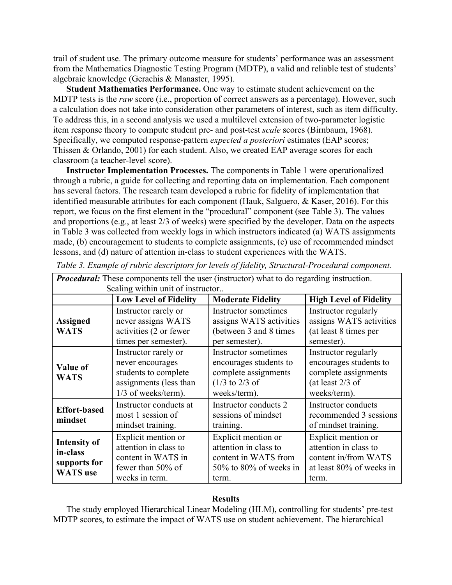trail of student use. The primary outcome measure for students' performance was an assessment from the Mathematics Diagnostic Testing Program (MDTP), a valid and reliable test of students' algebraic knowledge (Gerachis & Manaster, 1995).

**Student Mathematics Performance.** One way to estimate student achievement on the MDTP tests is the *raw* score (i.e., proportion of correct answers as a percentage). However, such a calculation does not take into consideration other parameters of interest, such as item difficulty. To address this, in a second analysis we used a multilevel extension of two-parameter logistic item response theory to compute student pre- and post-test *scale* scores (Birnbaum, 1968). Specifically, we computed response-pattern *expected a posteriori* estimates (EAP scores; Thissen & Orlando, 2001) for each student. Also, we created EAP average scores for each classroom (a teacher-level score).

**Instructor Implementation Processes.** The components in Table 1 were operationalized through a rubric, a guide for collecting and reporting data on implementation. Each component has several factors. The research team developed a rubric for fidelity of implementation that identified measurable attributes for each component (Hauk, Salguero, & Kaser, 2016). For this report, we focus on the first element in the "procedural" component (see Table 3). The values and proportions (e.g., at least 2/3 of weeks) were specified by the developer. Data on the aspects in Table 3 was collected from weekly logs in which instructors indicated (a) WATS assignments made, (b) encouragement to students to complete assignments, (c) use of recommended mindset lessons, and (d) nature of attention in-class to student experiences with the WATS.

| <b>Procedural:</b> These components tell the user (instructor) what to do regarding instruction. |                                                                                                                     |                                                                                                                              |                                                                                                              |  |  |  |  |
|--------------------------------------------------------------------------------------------------|---------------------------------------------------------------------------------------------------------------------|------------------------------------------------------------------------------------------------------------------------------|--------------------------------------------------------------------------------------------------------------|--|--|--|--|
| Scaling within unit of instructor                                                                |                                                                                                                     |                                                                                                                              |                                                                                                              |  |  |  |  |
|                                                                                                  | <b>Low Level of Fidelity</b><br><b>High Level of Fidelity</b><br><b>Moderate Fidelity</b>                           |                                                                                                                              |                                                                                                              |  |  |  |  |
| <b>Assigned</b><br><b>WATS</b>                                                                   | Instructor rarely or<br>never assigns WATS<br>activities (2 or fewer<br>times per semester).                        | Instructor sometimes<br>assigns WATS activities<br>(between 3 and 8 times)<br>per semester).                                 | Instructor regularly<br>assigns WATS activities<br>(at least 8 times per<br>semester).                       |  |  |  |  |
| <b>Value of</b><br><b>WATS</b>                                                                   | Instructor rarely or<br>never encourages<br>students to complete<br>assignments (less than<br>$1/3$ of weeks/term). | Instructor sometimes<br>encourages students to<br>complete assignments<br>$(1/3 \text{ to } 2/3 \text{ of }$<br>weeks/term). | Instructor regularly<br>encourages students to<br>complete assignments<br>(at least $2/3$ of<br>weeks/term). |  |  |  |  |
| <b>Effort-based</b><br>mindset                                                                   | Instructor conducts at<br>most 1 session of<br>mindset training.                                                    | Instructor conducts 2<br>sessions of mindset<br>training.                                                                    | <b>Instructor conducts</b><br>recommended 3 sessions<br>of mindset training.                                 |  |  |  |  |
| <b>Intensity of</b><br>in-class<br>supports for<br><b>WATS</b> use                               | Explicit mention or<br>attention in class to<br>content in WATS in<br>fewer than $50\%$ of<br>weeks in term.        | Explicit mention or<br>attention in class to<br>content in WATS from<br>$50\%$ to $80\%$ of weeks in<br>term.                | Explicit mention or<br>attention in class to<br>content in/from WATS<br>at least 80% of weeks in<br>term.    |  |  |  |  |

|  |  |  |  |  | Table 3. Example of rubric descriptors for levels of fidelity, Structural-Procedural component. |
|--|--|--|--|--|-------------------------------------------------------------------------------------------------|
|  |  |  |  |  |                                                                                                 |

# **Results**

The study employed Hierarchical Linear Modeling (HLM), controlling for students' pre-test MDTP scores, to estimate the impact of WATS use on student achievement. The hierarchical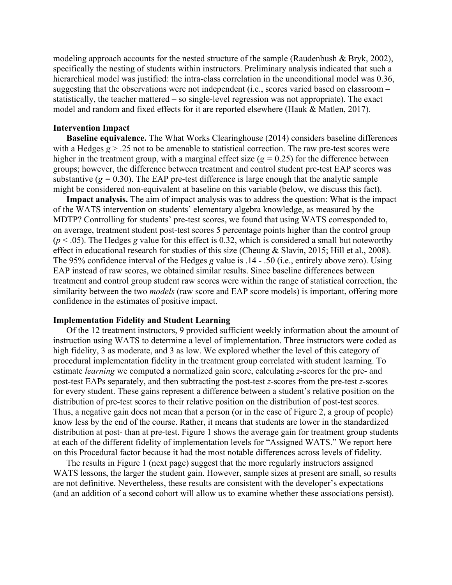modeling approach accounts for the nested structure of the sample (Raudenbush & Bryk, 2002), specifically the nesting of students within instructors. Preliminary analysis indicated that such a hierarchical model was justified: the intra-class correlation in the unconditional model was 0.36, suggesting that the observations were not independent (i.e., scores varied based on classroom – statistically, the teacher mattered – so single-level regression was not appropriate). The exact model and random and fixed effects for it are reported elsewhere (Hauk & Matlen, 2017).

## **Intervention Impact**

**Baseline equivalence.** The What Works Clearinghouse (2014) considers baseline differences with a Hedges  $g > 0.25$  not to be amenable to statistical correction. The raw pre-test scores were higher in the treatment group, with a marginal effect size  $(g = 0.25)$  for the difference between groups; however, the difference between treatment and control student pre-test EAP scores was substantive  $(g = 0.30)$ . The EAP pre-test difference is large enough that the analytic sample might be considered non-equivalent at baseline on this variable (below, we discuss this fact).

**Impact analysis.** The aim of impact analysis was to address the question: What is the impact of the WATS intervention on students' elementary algebra knowledge, as measured by the MDTP? Controlling for students' pre-test scores, we found that using WATS corresponded to, on average, treatment student post-test scores 5 percentage points higher than the control group  $(p < .05)$ . The Hedges *g* value for this effect is 0.32, which is considered a small but noteworthy effect in educational research for studies of this size (Cheung & Slavin, 2015; Hill et al., 2008). The 95% confidence interval of the Hedges *g* value is .14 - .50 (i.e., entirely above zero). Using EAP instead of raw scores, we obtained similar results. Since baseline differences between treatment and control group student raw scores were within the range of statistical correction, the similarity between the two *models* (raw score and EAP score models) is important, offering more confidence in the estimates of positive impact.

#### **Implementation Fidelity and Student Learning**

Of the 12 treatment instructors, 9 provided sufficient weekly information about the amount of instruction using WATS to determine a level of implementation. Three instructors were coded as high fidelity, 3 as moderate, and 3 as low. We explored whether the level of this category of procedural implementation fidelity in the treatment group correlated with student learning. To estimate *learning* we computed a normalized gain score, calculating *z*-scores for the pre- and post-test EAPs separately, and then subtracting the post-test *z*-scores from the pre-test *z*-scores for every student. These gains represent a difference between a student's relative position on the distribution of pre-test scores to their relative position on the distribution of post-test scores. Thus, a negative gain does not mean that a person (or in the case of Figure 2, a group of people) know less by the end of the course. Rather, it means that students are lower in the standardized distribution at post- than at pre-test. Figure 1 shows the average gain for treatment group students at each of the different fidelity of implementation levels for "Assigned WATS." We report here on this Procedural factor because it had the most notable differences across levels of fidelity.

The results in Figure 1 (next page) suggest that the more regularly instructors assigned WATS lessons, the larger the student gain. However, sample sizes at present are small, so results are not definitive. Nevertheless, these results are consistent with the developer's expectations (and an addition of a second cohort will allow us to examine whether these associations persist).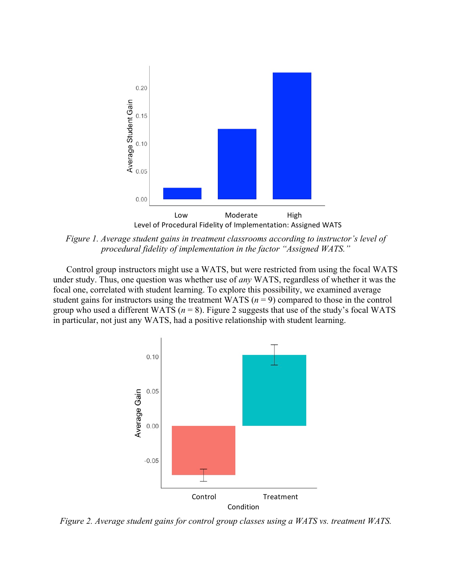

*Figure 1. Average student gains in treatment classrooms according to instructor's level of procedural fidelity of implementation in the factor "Assigned WATS."*

Control group instructors might use a WATS, but were restricted from using the focal WATS under study. Thus, one question was whether use of *any* WATS, regardless of whether it was the focal one, correlated with student learning. To explore this possibility, we examined average student gains for instructors using the treatment WATS ( $n = 9$ ) compared to those in the control group who used a different WATS ( $n = 8$ ). Figure 2 suggests that use of the study's focal WATS in particular, not just any WATS, had a positive relationship with student learning.



*Figure 2. Average student gains for control group classes using a WATS vs. treatment WATS.*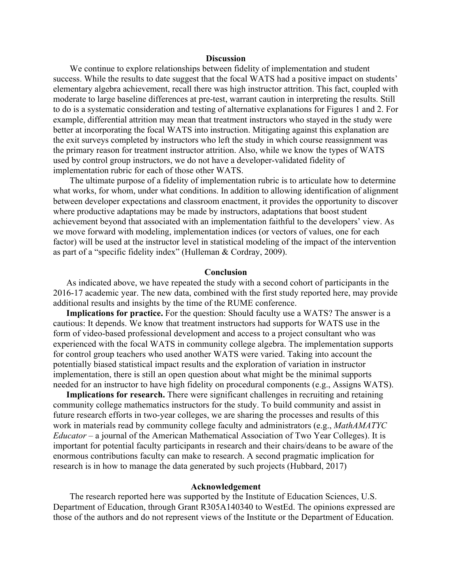#### **Discussion**

We continue to explore relationships between fidelity of implementation and student success. While the results to date suggest that the focal WATS had a positive impact on students' elementary algebra achievement, recall there was high instructor attrition. This fact, coupled with moderate to large baseline differences at pre-test, warrant caution in interpreting the results. Still to do is a systematic consideration and testing of alternative explanations for Figures 1 and 2. For example, differential attrition may mean that treatment instructors who stayed in the study were better at incorporating the focal WATS into instruction. Mitigating against this explanation are the exit surveys completed by instructors who left the study in which course reassignment was the primary reason for treatment instructor attrition. Also, while we know the types of WATS used by control group instructors, we do not have a developer-validated fidelity of implementation rubric for each of those other WATS.

The ultimate purpose of a fidelity of implementation rubric is to articulate how to determine what works, for whom, under what conditions. In addition to allowing identification of alignment between developer expectations and classroom enactment, it provides the opportunity to discover where productive adaptations may be made by instructors, adaptations that boost student achievement beyond that associated with an implementation faithful to the developers' view. As we move forward with modeling, implementation indices (or vectors of values, one for each factor) will be used at the instructor level in statistical modeling of the impact of the intervention as part of a "specific fidelity index" (Hulleman & Cordray, 2009).

# **Conclusion**

As indicated above, we have repeated the study with a second cohort of participants in the 2016-17 academic year. The new data, combined with the first study reported here, may provide additional results and insights by the time of the RUME conference.

**Implications for practice.** For the question: Should faculty use a WATS? The answer is a cautious: It depends. We know that treatment instructors had supports for WATS use in the form of video-based professional development and access to a project consultant who was experienced with the focal WATS in community college algebra. The implementation supports for control group teachers who used another WATS were varied. Taking into account the potentially biased statistical impact results and the exploration of variation in instructor implementation, there is still an open question about what might be the minimal supports needed for an instructor to have high fidelity on procedural components (e.g., Assigns WATS).

**Implications for research.** There were significant challenges in recruiting and retaining community college mathematics instructors for the study. To build community and assist in future research efforts in two-year colleges, we are sharing the processes and results of this work in materials read by community college faculty and administrators (e.g., *MathAMATYC Educator* – a journal of the American Mathematical Association of Two Year Colleges). It is important for potential faculty participants in research and their chairs/deans to be aware of the enormous contributions faculty can make to research. A second pragmatic implication for research is in how to manage the data generated by such projects (Hubbard, 2017)

## **Acknowledgement**

The research reported here was supported by the Institute of Education Sciences, U.S. Department of Education, through Grant R305A140340 to WestEd. The opinions expressed are those of the authors and do not represent views of the Institute or the Department of Education.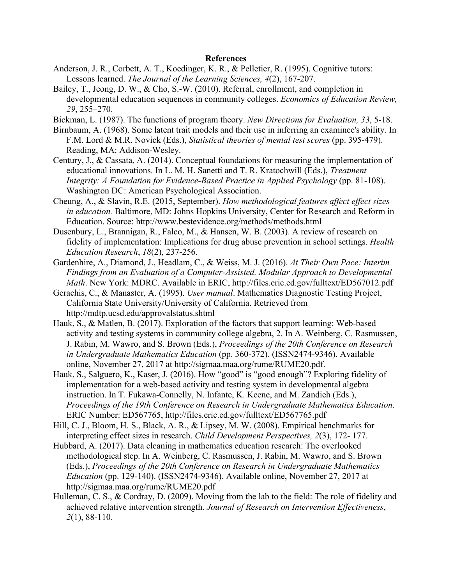# **References**

- Anderson, J. R., Corbett, A. T., Koedinger, K. R., & Pelletier, R. (1995). Cognitive tutors: Lessons learned. *The Journal of the Learning Sciences, 4*(2), 167-207.
- Bailey, T., Jeong, D. W., & Cho, S.-W. (2010). Referral, enrollment, and completion in developmental education sequences in community colleges. *Economics of Education Review, 29*, 255–270.
- Bickman, L. (1987). The functions of program theory. *New Directions for Evaluation, 33*, 5-18.
- Birnbaum, A. (1968). Some latent trait models and their use in inferring an examinee's ability. In F.M. Lord & M.R. Novick (Eds.), *Statistical theories of mental test scores* (pp. 395-479). Reading, MA: Addison-Wesley.
- Century, J., & Cassata, A. (2014). Conceptual foundations for measuring the implementation of educational innovations. In L. M. H. Sanetti and T. R. Kratochwill (Eds.), *Treatment Integrity: A Foundation for Evidence-Based Practice in Applied Psychology* (pp. 81-108). Washington DC: American Psychological Association.
- Cheung, A., & Slavin, R.E. (2015, September). *How methodological features affect effect sizes in education.* Baltimore, MD: Johns Hopkins University, Center for Research and Reform in Education. Source: http://www.bestevidence.org/methods/methods.html
- Dusenbury, L., Brannigan, R., Falco, M., & Hansen, W. B. (2003). A review of research on fidelity of implementation: Implications for drug abuse prevention in school settings. *Health Education Research*, *18*(2), 237-256.
- Gardenhire, A., Diamond, J., Headlam, C., & Weiss, M. J. (2016). *At Their Own Pace: Interim Findings from an Evaluation of a Computer-Assisted, Modular Approach to Developmental Math*. New York: MDRC. Available in ERIC, http://files.eric.ed.gov/fulltext/ED567012.pdf
- Gerachis, C., & Manaster, A. (1995). *User manual*. Mathematics Diagnostic Testing Project, California State University/University of California. Retrieved from http://mdtp.ucsd.edu/approvalstatus.shtml
- Hauk, S., & Matlen, B. (2017). Exploration of the factors that support learning: Web-based activity and testing systems in community college algebra, 2. In A. Weinberg, C. Rasmussen, J. Rabin, M. Wawro, and S. Brown (Eds.), *Proceedings of the 20th Conference on Research in Undergraduate Mathematics Education* (pp. 360-372). (ISSN2474-9346). Available online, November 27, 2017 at http://sigmaa.maa.org/rume/RUME20.pdf.
- Hauk, S., Salguero, K., Kaser, J. (2016). How "good" is "good enough"? Exploring fidelity of implementation for a web-based activity and testing system in developmental algebra instruction. In T. Fukawa-Connelly, N. Infante, K. Keene, and M. Zandieh (Eds.), *Proceedings of the 19th Conference on Research in Undergraduate Mathematics Education*. ERIC Number: ED567765, http://files.eric.ed.gov/fulltext/ED567765.pdf
- Hill, C. J., Bloom, H. S., Black, A. R., & Lipsey, M. W. (2008). Empirical benchmarks for interpreting effect sizes in research. *Child Development Perspectives, 2*(3), 172- 177.
- Hubbard, A. (2017). Data cleaning in mathematics education research: The overlooked methodological step. In A. Weinberg, C. Rasmussen, J. Rabin, M. Wawro, and S. Brown (Eds.), *Proceedings of the 20th Conference on Research in Undergraduate Mathematics Education* (pp. 129-140). (ISSN2474-9346). Available online, November 27, 2017 at http://sigmaa.maa.org/rume/RUME20.pdf
- Hulleman, C. S., & Cordray, D. (2009). Moving from the lab to the field: The role of fidelity and achieved relative intervention strength. *Journal of Research on Intervention Effectiveness*, *2*(1), 88-110.